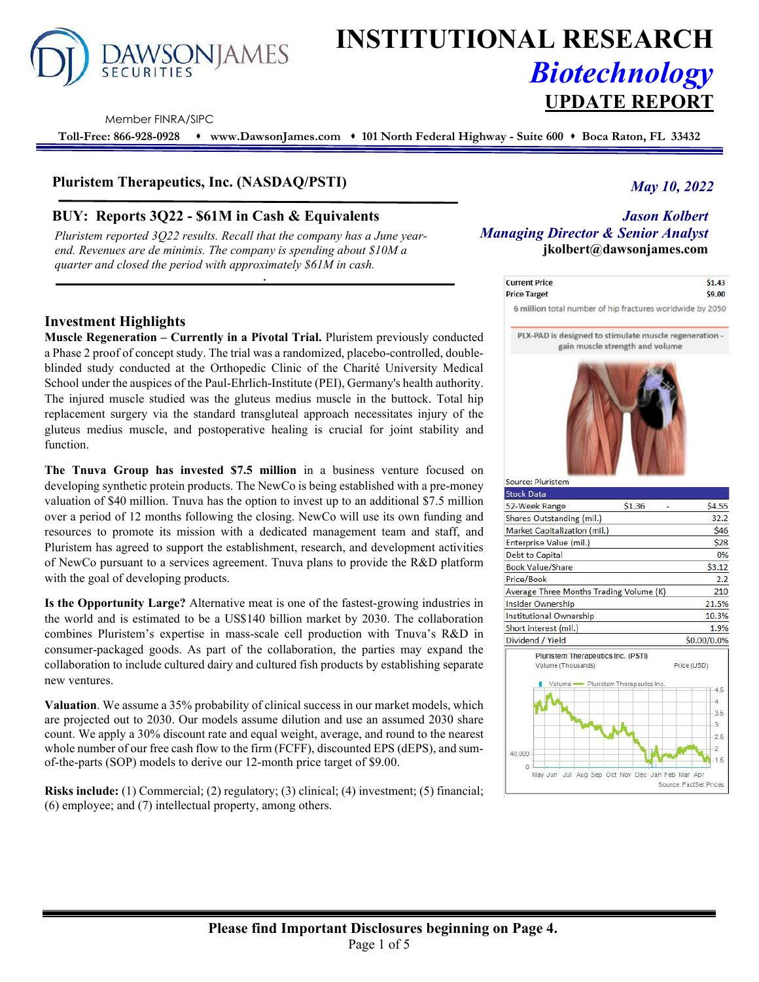

# **INSTITUTIONAL RESEARCH** *Biotechnology* **UPDATE REPORT**

Member FINRA/SIPC

**Toll-Free: 866-928-0928 www.DawsonJames.com 101 North Federal Highway - Suite 600 Boca Raton, FL 33432**

# **Pluristem Therapeutics, Inc. (NASDAQ/PSTI)**

# **BUY: Reports 3Q22 - \$61M in Cash & Equivalents** *Jason Kolbert*

*Pluristem reported 3Q22 results. Recall that the company has a June yearend. Revenues are de minimis. The company is spending about \$10M a quarter and closed the period with approximately \$61M in cash.* 

## **Investment Highlights**

**Muscle Regeneration – Currently in a Pivotal Trial.** Pluristem previously conducted a Phase 2 proof of concept study. The trial was a randomized, placebo-controlled, doubleblinded study conducted at the Orthopedic Clinic of the Charité University Medical School under the auspices of the Paul-Ehrlich-Institute (PEI), Germany's health authority. The injured muscle studied was the gluteus medius muscle in the buttock. Total hip replacement surgery via the standard transgluteal approach necessitates injury of the gluteus medius muscle, and postoperative healing is crucial for joint stability and function.

**The Tnuva Group has invested \$7.5 million** in a business venture focused on developing synthetic protein products. The NewCo is being established with a pre-money valuation of \$40 million. Tnuva has the option to invest up to an additional \$7.5 million over a period of 12 months following the closing. NewCo will use its own funding and resources to promote its mission with a dedicated management team and staff, and Pluristem has agreed to support the establishment, research, and development activities of NewCo pursuant to a services agreement. Tnuva plans to provide the R&D platform with the goal of developing products.

**Is the Opportunity Large?** Alternative meat is one of the fastest-growing industries in the world and is estimated to be a US\$140 billion market by 2030. The collaboration combines Pluristem's expertise in mass-scale cell production with Tnuva's R&D in consumer-packaged goods. As part of the collaboration, the parties may expand the collaboration to include cultured dairy and cultured fish products by establishing separate new ventures.

**Valuation**. We assume a 35% probability of clinical success in our market models, which are projected out to 2030. Our models assume dilution and use an assumed 2030 share count. We apply a 30% discount rate and equal weight, average, and round to the nearest whole number of our free cash flow to the firm (FCFF), discounted EPS (dEPS), and sumof-the-parts (SOP) models to derive our 12-month price target of \$9.00.

**Risks include:** (1) Commercial; (2) regulatory; (3) clinical; (4) investment; (5) financial; (6) employee; and (7) intellectual property, among others.

# *May 10, 2022*

# *Managing Director & Senior Analyst*  **jkolbert@dawsonjames.com**

| <b>Current Price</b> | \$1.43 |
|----------------------|--------|
| <b>Price Target</b>  | \$9.00 |

6 million total number of hip fractures worldwide by 2050

PLX-PAD is designed to stimulate muscle regeneration gain muscle strength and volume



| <b>Stock Data</b>                                              |                                    |                                                        |
|----------------------------------------------------------------|------------------------------------|--------------------------------------------------------|
| 52-Week Range                                                  | \$1.36                             | \$4.55                                                 |
| Shares Outstanding (mil.)                                      |                                    | 32.2                                                   |
| Market Capitalization (mil.)                                   |                                    | \$46                                                   |
| Enterprise Value (mil.)                                        |                                    | \$28                                                   |
| Debt to Capital                                                |                                    | 0%                                                     |
| <b>Book Value/Share</b>                                        |                                    | \$3.12                                                 |
| Price/Book                                                     |                                    | 2.2                                                    |
| Average Three Months Trading Volume (K)                        |                                    | 210                                                    |
| Insider Ownership                                              |                                    | 21.5%                                                  |
| Institutional Ownership                                        |                                    | 10.3%                                                  |
| Short interest (mil.)                                          |                                    | 1.9%                                                   |
| Dividend / Yield                                               |                                    | \$0.00/0.0%                                            |
| Pluristem Therapeutics Inc. (PSTI)<br>Volume (Thousands)       | Volume Pluristem Therapeutics Inc. | Price (USD)<br>4.5<br>4<br>3.5<br>3                    |
| 40,000<br>0<br>May Jun Jul Aug Sep Oct Nov Dec Jan Feb Mar Apr |                                    | 2.5<br>$\overline{2}$<br>1.5<br>Source: FactSet Prices |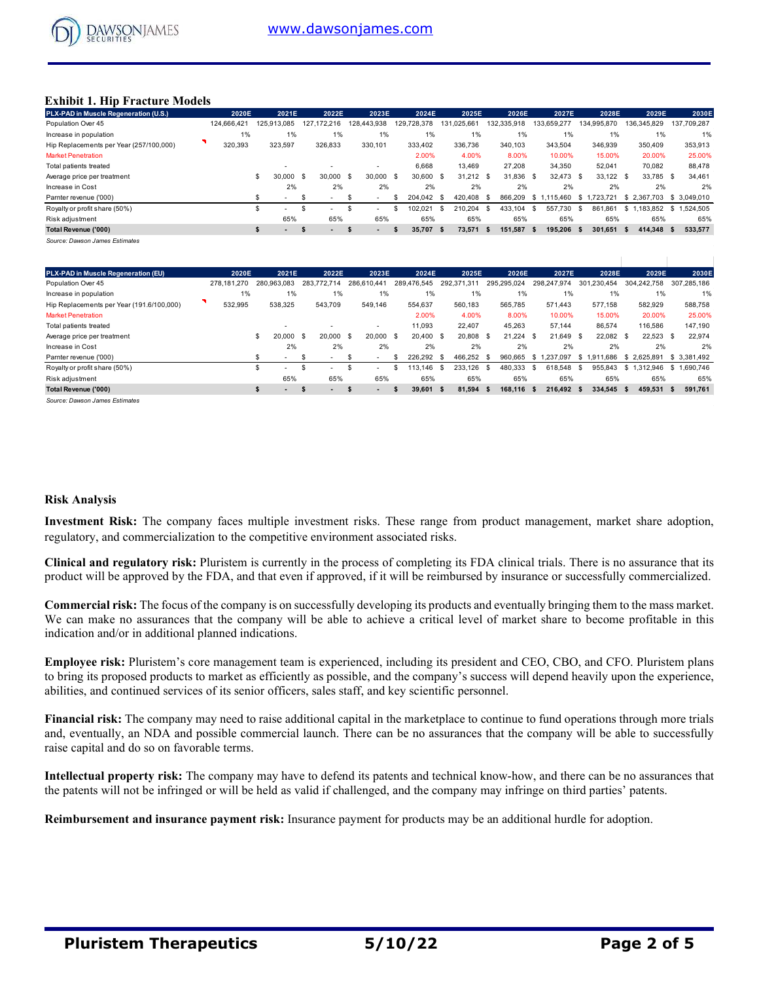

#### **Exhibit 1. Hip Fracture Models**

| PLX-PAD in Muscle Regeneration (U.S.)   | 2020E       | 2021E                           | 2022E                            | 2023E                    | 2024E              | 2025E               | 2026E           | 2027E             | 2028E          | 2029E           | 2030E           |
|-----------------------------------------|-------------|---------------------------------|----------------------------------|--------------------------|--------------------|---------------------|-----------------|-------------------|----------------|-----------------|-----------------|
| Population Over 45                      | 124.666.421 | 125.913.085                     | 127.172.216                      | 128.443.938              | 129,728,378        | 131.025.661         | 132.335.918     | 133.659.277       | 134.995.870    | 136,345,829     | 137,709,287     |
| Increase in population                  | 1%          | $1\%$                           | 1%                               | 1%                       | 1%                 | 1%                  | 1%              | 1%                | 1%             | 1%              | 1%              |
| Hip Replacements per Year (257/100,000) | 320,393     | 323,597                         | 326,833                          | 330,101                  | 333.402            | 336,736             | 340,103         | 343,504           | 346,939        | 350,409         | 353,913         |
| <b>Market Penetration</b>               |             |                                 |                                  |                          | 2.00%              | 4.00%               | 8.00%           | 10.00%            | 15.00%         | 20.00%          | 25.00%          |
| Total patients treated                  |             | $\sim$                          |                                  | $\overline{\phantom{a}}$ | 6,668              | 13,469              | 27,208          | 34,350            | 52,041         | 70,082          | 88,478          |
| Average price per treatment             |             | \$<br>30,000                    | 30,000<br>- \$                   | 30,000<br><b>S</b>       | 30.600<br><b>S</b> | $31.212$ \$<br>- \$ | 31,836 \$       | 32.473 \$         | 33,122 \$      | 33,785 \$       | 34,461          |
| Increase in Cost                        |             | 2%                              | 2%                               | 2%                       | 2%                 | 2%                  | 2%              | 2%                | 2%             | 2%              | 2%              |
| Parnter revenue ('000)                  |             |                                 |                                  |                          | 204.042 \$         | 420.408             | 866,209<br>- \$ | 115.460<br>-SS    | .723.721<br>-S | 2.367.703<br>-S | \$ 3.049.010    |
| Royalty or profit share (50%)           |             | ж<br>- 1                        |                                  | $\overline{\phantom{0}}$ | 102.021            | 210.204<br>\$.      | 433.104<br>\$   | 557.730<br>- \$   | 861.861<br>-S  | .183.852<br>s.  | .524.505<br>\$1 |
| Risk adjustment                         |             | 65%                             | 65%                              | 65%                      | 65%                | 65%                 | 65%             | 65%               | 65%            | 65%             | 65%             |
| Total Revenue ('000)                    |             | -55<br>$\overline{\phantom{a}}$ | $\overline{\phantom{a}}$<br>- 35 | $\overline{\phantom{a}}$ | 35.707             | 73.571<br>- 55      | 151.587<br>- 5  | 195.206 \$<br>- S | 301.651        | 414.348         | 533,577         |
|                                         |             |                                 |                                  |                          |                    |                     |                 |                   |                |                 |                 |

*Source: Dawson James Estimates*

| PLX-PAD in Muscle Regeneration (EU)       | 2020E       | 2021E                    |             | 2022E                    | 2023E                    | 2024E        |      | 2025E        | 2026E           | 2027E           | 2028E           | 2029E            | 2030E           |
|-------------------------------------------|-------------|--------------------------|-------------|--------------------------|--------------------------|--------------|------|--------------|-----------------|-----------------|-----------------|------------------|-----------------|
| Population Over 45                        | 278.181.270 | 280.963.083              | 283.772.714 |                          | 286,610,441              | 289.476.545  |      | 292.371.311  | 295,295,024     | 298.247.974     | 301,230,454     | 304.242.758      | 307.285.186     |
| Increase in population                    | 1%          | 1%                       |             | 1%                       | $1\%$                    | 1%           |      | 1%           | $1\%$           | 1%              | 1%              | 1%               | 1%              |
| Hip Replacements per Year (191.6/100,000) | 532.995     | 538,325                  |             | 543.709                  | 549,146                  | 554.637      |      | 560.183      | 565.785         | 571.443         | 577.158         | 582,929          | 588,758         |
| <b>Market Penetration</b>                 |             |                          |             |                          |                          | 2.00%        |      | 4.00%        | 8.00%           | 10.00%          | 15.00%          | 20.00%           | 25.00%          |
| Total patients treated                    |             |                          |             | $\overline{\phantom{0}}$ |                          | 11,093       |      | 22.407       | 45,263          | 57,144          | 86,574          | 116.586          | 147,190         |
| Average price per treatment               |             | 20,000                   | - \$        | 20,000                   | \$.<br>20,000            | 20.400<br>-S | - \$ | 20.808 \$    | $21.224$ \$     | 21.649 \$       | 22,082          | 22,523<br>- \$   | 22.974<br>- \$  |
| Increase in Cost                          |             | 2%                       |             | 2%                       | 2%                       | 2%           |      | 2%           | 2%              | 2%              | 2%              | 2%               | 2%              |
| Parnter revenue ('000)                    |             | $\blacksquare$           |             | $\sim$                   | $\sim$                   | 226.292      | - \$ | 466.252      | 960.665<br>- \$ | .237.097<br>\$  | \$1.91<br>1.686 | \$2.625.891      | \$3.381.492     |
| Royalty or profit share (50%)             |             | $\overline{\phantom{a}}$ |             | -                        |                          | 113.146      | -\$  | .126<br>233. | 480.333<br>- 96 | 618.548<br>- 35 | 955.843         | .312.946<br>− \$ | \$1.690.746     |
| Risk adjustment                           |             | 65%                      |             | 65%                      | 65%                      | 65%          |      | 65%          | 65%             | 65%             | 65%             | 65%              | 65%             |
| Total Revenue ('000)                      |             | $\blacksquare$           |             | $\overline{\phantom{a}}$ | $\overline{\phantom{0}}$ | 39,601       | - \$ | 81.594 \$    | 168.116 \$      | 216.492 \$      | 334.545         | 459.531<br>-S    | 591.761<br>- 56 |
|                                           |             |                          |             |                          |                          |              |      |              |                 |                 |                 |                  |                 |

*Source: Dawson James Estimates*

#### **Risk Analysis**

**Investment Risk:** The company faces multiple investment risks. These range from product management, market share adoption, regulatory, and commercialization to the competitive environment associated risks.

**Clinical and regulatory risk:** Pluristem is currently in the process of completing its FDA clinical trials. There is no assurance that its product will be approved by the FDA, and that even if approved, if it will be reimbursed by insurance or successfully commercialized.

**Commercial risk:** The focus of the company is on successfully developing its products and eventually bringing them to the mass market. We can make no assurances that the company will be able to achieve a critical level of market share to become profitable in this indication and/or in additional planned indications.

**Employee risk:** Pluristem's core management team is experienced, including its president and CEO, CBO, and CFO. Pluristem plans to bring its proposed products to market as efficiently as possible, and the company's success will depend heavily upon the experience, abilities, and continued services of its senior officers, sales staff, and key scientific personnel.

**Financial risk:** The company may need to raise additional capital in the marketplace to continue to fund operations through more trials and, eventually, an NDA and possible commercial launch. There can be no assurances that the company will be able to successfully raise capital and do so on favorable terms.

**Intellectual property risk:** The company may have to defend its patents and technical know-how, and there can be no assurances that the patents will not be infringed or will be held as valid if challenged, and the company may infringe on third parties' patents.

**Reimbursement and insurance payment risk:** Insurance payment for products may be an additional hurdle for adoption.

 $\mathbb{L}$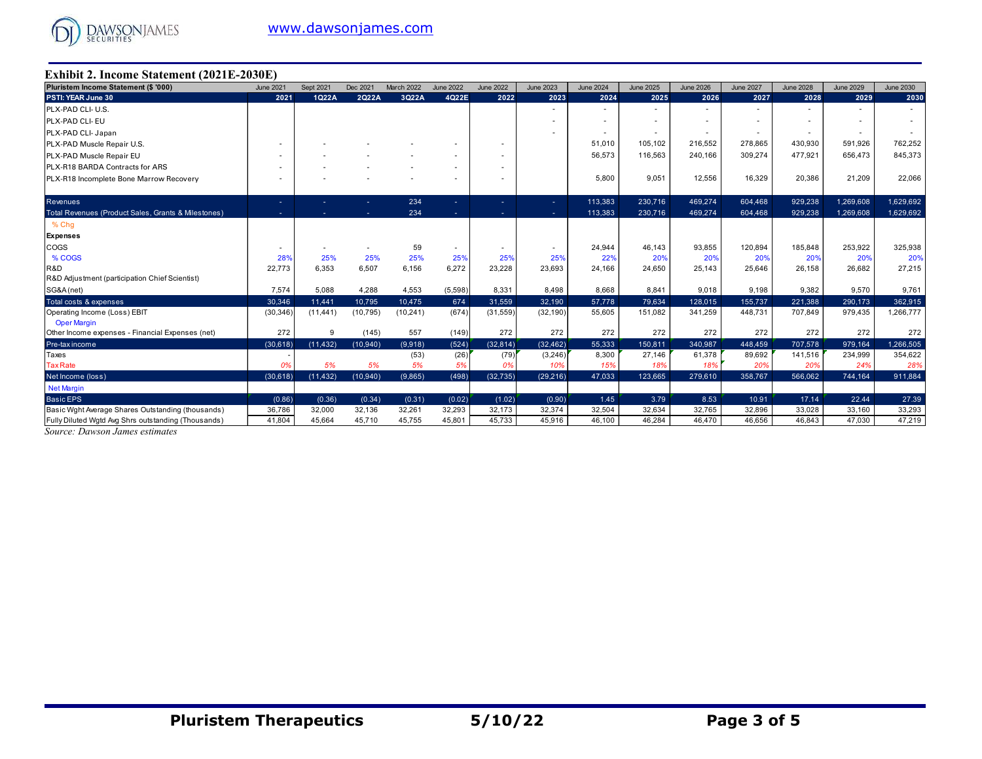

#### **Exhibit 2. Income Statement (2021E-2030E)**

| Pluristem Income Statement (\$ '000)                | <b>June 2021</b>         | Sept 2021 | Dec 2021  | March 2022 | <b>June 2022</b> | <b>June 2022</b> | <b>June 2023</b>         | <b>June 2024</b> | <b>June 2025</b> | <b>June 2026</b>         | <b>June 2027</b> | <b>June 2028</b> | <b>June 2029</b> | <b>June 2030</b> |
|-----------------------------------------------------|--------------------------|-----------|-----------|------------|------------------|------------------|--------------------------|------------------|------------------|--------------------------|------------------|------------------|------------------|------------------|
| PSTI: YEAR June 30                                  | 2021                     | 1Q22A     | 2Q22A     | 3Q22A      | 4Q22E            | 2022             | 2023                     | 2024             | 2025             | 2026                     | 2027             | 2028             | 2029             | 2030             |
| PLX-PAD CLI- U.S.                                   |                          |           |           |            |                  |                  |                          |                  |                  |                          |                  |                  |                  |                  |
| PLX-PAD CLI- EU                                     |                          |           |           |            |                  |                  |                          |                  |                  |                          |                  |                  |                  |                  |
| PLX-PAD CLI- Japan                                  |                          |           |           |            |                  |                  |                          |                  |                  | $\overline{\phantom{a}}$ | ٠                |                  |                  |                  |
| PLX-PAD Muscle Repair U.S.                          | $\overline{\phantom{a}}$ |           |           |            |                  |                  |                          | 51,010           | 105.102          | 216,552                  | 278,865          | 430,930          | 591,926          | 762,252          |
| PLX-PAD Muscle Repair EU                            |                          |           |           |            |                  |                  |                          | 56,573           | 116,563          | 240,166                  | 309,274          | 477,921          | 656,473          | 845,373          |
| PLX-R18 BARDA Contracts for ARS                     | $\overline{\phantom{a}}$ |           |           |            |                  |                  |                          |                  |                  |                          |                  |                  |                  |                  |
| PLX-R18 Incomplete Bone Marrow Recovery             |                          |           |           |            |                  |                  |                          | 5,800            | 9,051            | 12,556                   | 16,329           | 20,386           | 21,209           | 22,066           |
|                                                     |                          |           |           |            |                  |                  |                          |                  |                  |                          |                  |                  |                  |                  |
| <b>Revenues</b>                                     | . .                      |           |           | 234        |                  |                  | ÷                        | 113,383          | 230,716          | 469,274                  | 604,468          | 929,238          | 1,269,608        | 1,629,692        |
| Total Revenues (Product Sales, Grants & Milestones) |                          |           |           | 234        |                  |                  |                          | 113,383          | 230.716          | 469.274                  | 604.468          | 929.238          | 1.269.608        | 1,629,692        |
| % Chg                                               |                          |           |           |            |                  |                  |                          |                  |                  |                          |                  |                  |                  |                  |
| <b>Expenses</b>                                     |                          |           |           |            |                  |                  |                          |                  |                  |                          |                  |                  |                  |                  |
| COGS                                                |                          |           |           | 59         |                  |                  | $\overline{\phantom{a}}$ | 24,944           | 46,143           | 93,855                   | 120,894          | 185,848          | 253,922          | 325,938          |
| % COGS                                              | 28%                      | 25%       | 25%       | 25%        | 25%              | 25%              | 25%                      | 22%              | 20%              | 20%                      | 20%              | 20%              | 20%              | 20%              |
| R&D                                                 | 22,773                   | 6.353     | 6,507     | 6,156      | 6,272            | 23,228           | 23,693                   | 24,166           | 24.650           | 25,143                   | 25,646           | 26,158           | 26,682           | 27,215           |
| R&D Adjustment (participation Chief Scientist)      |                          |           |           |            |                  |                  |                          |                  |                  |                          |                  |                  |                  |                  |
| SG&A (net)                                          | 7,574                    | 5,088     | 4,288     | 4,553      | (5,598)          | 8,331            | 8,498                    | 8,668            | 8,841            | 9,018                    | 9,198            | 9,382            | 9,570            | 9,761            |
| Total costs & expenses                              | 30,346                   | 11.441    | 10,795    | 10.475     | 674              | 31,559           | 32,190                   | 57,778           | 79,634           | 128,015                  | 155,737          | 221,388          | 290,173          | 362,915          |
| Operating Income (Loss) EBIT                        | (30, 346)                | (11, 441) | (10, 795) | (10, 241)  | (674)            | (31, 559)        | (32, 190)                | 55,605           | 151,082          | 341,259                  | 448,731          | 707,849          | 979,435          | 1,266,777        |
| <b>Oper Margin</b>                                  |                          |           |           |            |                  |                  |                          |                  |                  |                          |                  |                  |                  |                  |
| Other Income expenses - Financial Expenses (net)    | 272                      | 9         | (145)     | 557        | (149)            | 272              | 272                      | 272              | 272              | 272                      | 272              | 272              | 272              | 272              |
| Pre-tax income                                      | (30, 618)                | (11, 432) | (10.940)  | (9,918)    | (524)            | (32, 814)        | (32, 462)                | 55,333           | 150,811          | 340.987                  | 448,459          | 707,578          | 979,164          | 1,266,505        |
| Taxes                                               |                          |           |           | (53)       | (26)             | (79)             | (3, 246)                 | 8,300            | 27,146           | 61,378                   | 89,692           | 141,516          | 234,999          | 354,622          |
| <b>Tax Rate</b>                                     | 0%                       | 5%        | 5%        | 5%         | 5%               | 0%               | 10%                      | 15%              | 18%              | 18%                      | 20%              | 20%              | 24%              | 28%              |
| Net Income (loss)                                   | (30, 618)                | (11, 432) | (10.940)  | (9,865)    | (498)            | (32, 735)        | (29.216)                 | 47.033           | 123.665          | 279,610                  | 358,767          | 566.062          | 744.164          | 911.884          |
| <b>Net Margin</b>                                   |                          |           |           |            |                  |                  |                          |                  |                  |                          |                  |                  |                  |                  |
| <b>Basic EPS</b>                                    | (0.86)                   | (0.36)    | (0.34)    | (0.31)     | (0.02)           | (1.02)           | (0.90)                   | 1.45             | 3.79             | 8.53                     | 10.91            | 17.14            | 22.44            | 27.39            |
| Basic Wght Average Shares Outstanding (thousands)   | 36,786                   | 32,000    | 32,136    | 32,261     | 32,293           | 32,173           | 32,374                   | 32,504           | 32,634           | 32,765                   | 32,896           | 33,028           | 33,160           | 33,293           |
| Fully Diluted Wgtd Avg Shrs outstanding (Thousands) | 41,804                   | 45,664    | 45,710    | 45,755     | 45,801           | 45,733           | 45,916                   | 46,100           | 46,284           | 46,470                   | 46,656           | 46,843           | 47,030           | 47,219           |

*Source: Dawson James estimates*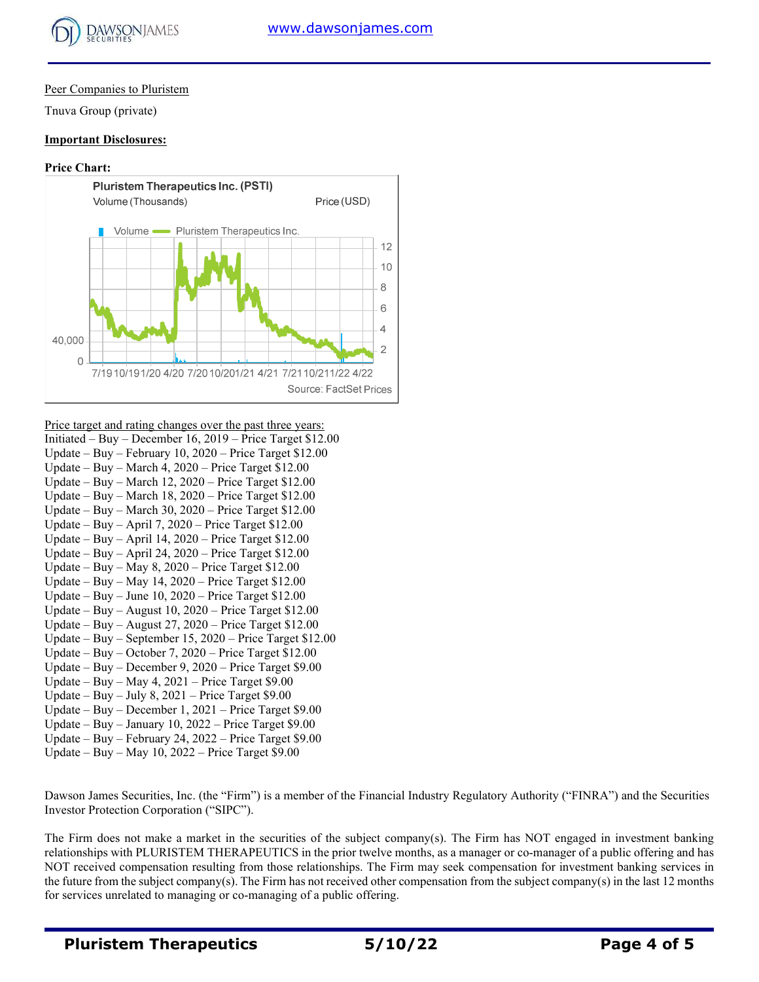

## Peer Companies to Pluristem

Tnuva Group (private)

#### **Important Disclosures:**

#### **Price Chart:**



Price target and rating changes over the past three years:

| Initiated – Buy – December 16, 2019 – Price Target $$12.00$ |
|-------------------------------------------------------------|
| Update – Buy – February 10, 2020 – Price Target $$12.00$    |
| Update – Buy – March 4, 2020 – Price Target $$12.00$        |
| Update – Buy – March 12, 2020 – Price Target $$12.00$       |
| Update – Buy – March 18, 2020 – Price Target $$12.00$       |
| Update – Buy – March 30, 2020 – Price Target $$12.00$       |
| Update – Buy – April 7, 2020 – Price Target $$12.00$        |
| Update – Buy – April 14, 2020 – Price Target $$12.00$       |
| Update – Buy – April 24, 2020 – Price Target $$12.00$       |
| Update – Buy – May 8, 2020 – Price Target $$12.00$          |
| Update – Buy – May 14, $2020$ – Price Target \$12.00        |
| Update – Buy – June 10, $2020$ – Price Target \$12.00       |
| Update – Buy – August 10, 2020 – Price Target $$12.00$      |
| Update – Buy – August 27, 2020 – Price Target $$12.00$      |
| Update – Buy – September 15, 2020 – Price Target $$12.00$   |
| Update – Buy – October 7, 2020 – Price Target $$12.00$      |
| Update – Buy – December 9, 2020 – Price Target $$9.00$      |
| Update – Buy – May 4, 2021 – Price Target $$9.00$           |
| Update – Buy – July 8, 2021 – Price Target $$9.00$          |
| Update – Buy – December 1, 2021 – Price Target \$9.00       |
| Update – Buy – January 10, 2022 – Price Target $$9.00$      |
| Update – Buy – February 24, 2022 – Price Target $$9.00$     |
| Update – Buy – May 10, 2022 – Price Target $$9.00$          |

Dawson James Securities, Inc. (the "Firm") is a member of the Financial Industry Regulatory Authority ("FINRA") and the Securities Investor Protection Corporation ("SIPC").

The Firm does not make a market in the securities of the subject company(s). The Firm has NOT engaged in investment banking relationships with PLURISTEM THERAPEUTICS in the prior twelve months, as a manager or co-manager of a public offering and has NOT received compensation resulting from those relationships. The Firm may seek compensation for investment banking services in the future from the subject company(s). The Firm has not received other compensation from the subject company(s) in the last 12 months for services unrelated to managing or co-managing of a public offering.